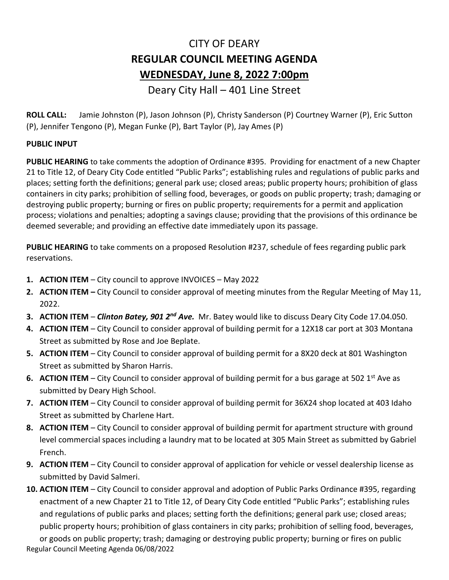## CITY OF DEARY **REGULAR COUNCIL MEETING AGENDA WEDNESDAY, June 8, 2022 7:00pm**

## Deary City Hall – 401 Line Street

**ROLL CALL:** Jamie Johnston (P), Jason Johnson (P), Christy Sanderson (P) Courtney Warner (P), Eric Sutton (P), Jennifer Tengono (P), Megan Funke (P), Bart Taylor (P), Jay Ames (P)

## **PUBLIC INPUT**

**PUBLIC HEARING** to take comments the adoption of Ordinance #395. Providing for enactment of a new Chapter 21 to Title 12, of Deary City Code entitled "Public Parks"; establishing rules and regulations of public parks and places; setting forth the definitions; general park use; closed areas; public property hours; prohibition of glass containers in city parks; prohibition of selling food, beverages, or goods on public property; trash; damaging or destroying public property; burning or fires on public property; requirements for a permit and application process; violations and penalties; adopting a savings clause; providing that the provisions of this ordinance be deemed severable; and providing an effective date immediately upon its passage.

**PUBLIC HEARING** to take comments on a proposed Resolution #237, schedule of fees regarding public park reservations.

- **1. ACTION ITEM** City council to approve INVOICES May 2022
- **2. ACTION ITEM –** City Council to consider approval of meeting minutes from the Regular Meeting of May 11, 2022.
- **3. ACTION ITEM**  *Clinton Batey, 901 2nd Ave.* Mr. Batey would like to discuss Deary City Code 17.04.050.
- **4. ACTION ITEM** City Council to consider approval of building permit for a 12X18 car port at 303 Montana Street as submitted by Rose and Joe Beplate.
- **5. ACTION ITEM** City Council to consider approval of building permit for a 8X20 deck at 801 Washington Street as submitted by Sharon Harris.
- **6. ACTION ITEM** City Council to consider approval of building permit for a bus garage at 502 1<sup>st</sup> Ave as submitted by Deary High School.
- **7. ACTION ITEM**  City Council to consider approval of building permit for 36X24 shop located at 403 Idaho Street as submitted by Charlene Hart.
- **8. ACTION ITEM** City Council to consider approval of building permit for apartment structure with ground level commercial spaces including a laundry mat to be located at 305 Main Street as submitted by Gabriel French.
- **9. ACTION ITEM**  City Council to consider approval of application for vehicle or vessel dealership license as submitted by David Salmeri.
- **10. ACTION ITEM**  City Council to consider approval and adoption of Public Parks Ordinance #395, regarding enactment of a new Chapter 21 to Title 12, of Deary City Code entitled "Public Parks"; establishing rules and regulations of public parks and places; setting forth the definitions; general park use; closed areas; public property hours; prohibition of glass containers in city parks; prohibition of selling food, beverages,

Regular Council Meeting Agenda 06/08/2022 or goods on public property; trash; damaging or destroying public property; burning or fires on public